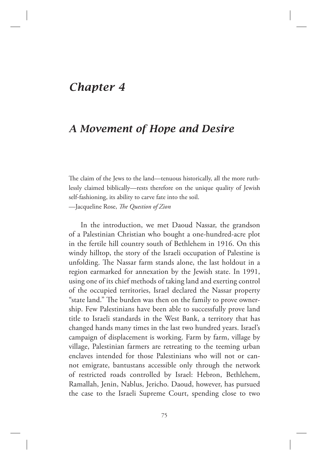# *Chapter 4*

# *A Movement of Hope and Desire*

The claim of the Jews to the land—tenuous historically, all the more ruthlessly claimed biblically—rests therefore on the unique quality of Jewish self-fashioning, its ability to carve fate into the soil. —Jacqueline Rose, *The Question of Zion* 

In the introduction, we met Daoud Nassar, the grandson of a Palestinian Christian who bought a one-hundred-acre plot in the fertile hill country south of Bethlehem in 1916. On this windy hilltop, the story of the Israeli occupation of Palestine is unfolding. The Nassar farm stands alone, the last holdout in a region earmarked for annexation by the Jewish state. In 1991, using one of its chief methods of taking land and exerting control of the occupied territories, Israel declared the Nassar property "state land." The burden was then on the family to prove ownership. Few Palestinians have been able to successfully prove land title to Israeli standards in the West Bank, a territory that has changed hands many times in the last two hundred years. Israel's campaign of displacement is working. Farm by farm, village by village, Palestinian farmers are retreating to the teeming urban enclaves intended for those Palestinians who will not or cannot emigrate, bantustans accessible only through the network of restricted roads controlled by Israel: Hebron, Bethlehem, Ramallah, Jenin, Nablus, Jericho. Daoud, however, has pursued the case to the Israeli Supreme Court, spending close to two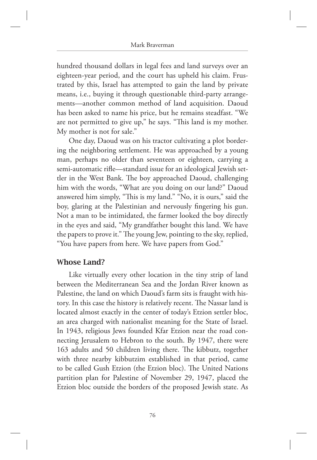hundred thousand dollars in legal fees and land surveys over an eighteen-year period, and the court has upheld his claim. Frustrated by this, Israel has attempted to gain the land by private means, i.e., buying it through questionable third-party arrangements—another common method of land acquisition. Daoud has been asked to name his price, but he remains steadfast. "We are not permitted to give up," he says. "This land is my mother. My mother is not for sale."

One day, Daoud was on his tractor cultivating a plot bordering the neighboring settlement. He was approached by a young man, perhaps no older than seventeen or eighteen, carrying a semi-automatic rifle—standard issue for an ideological Jewish settler in the West Bank. The boy approached Daoud, challenging him with the words, "What are you doing on our land?" Daoud answered him simply, "This is my land." "No, it is ours," said the boy, glaring at the Palestinian and nervously fingering his gun. Not a man to be intimidated, the farmer looked the boy directly in the eyes and said, "My grandfather bought this land. We have the papers to prove it." The young Jew, pointing to the sky, replied, "You have papers from here. We have papers from God."

#### Whose Land?

Like virtually every other location in the tiny strip of land between the Mediterranean Sea and the Jordan River known as Palestine, the land on which Daoud's farm sits is fraught with history. In this case the history is relatively recent. The Nassar land is located almost exactly in the center of today's Etzion settler bloc, an area charged with nationalist meaning for the State of Israel. In 1943, religious Jews founded Kfar Etzion near the road connecting Jerusalem to Hebron to the south. By 1947, there were 163 adults and 50 children living there. The kibbutz, together with three nearby kibbutzim established in that period, came to be called Gush Etzion (the Etzion bloc). The United Nations partition plan for Palestine of November 29, 1947, placed the Etzion bloc outside the borders of the proposed Jewish state. As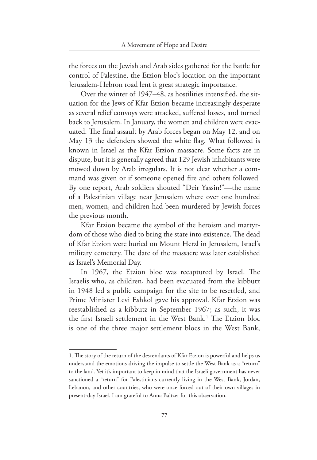the forces on the Jewish and Arab sides gathered for the battle for control of Palestine, the Etzion bloc's location on the important Jerusalem-Hebron road lent it great strategic importance.

Over the winter of 1947–48, as hostilities intensified, the situation for the Jews of Kfar Etzion became increasingly desperate as several relief convoys were attacked, suffered losses, and turned back to Jerusalem. In January, the women and children were evacuated. The final assault by Arab forces began on May 12, and on May 13 the defenders showed the white flag. What followed is known in Israel as the Kfar Etzion massacre. Some facts are in dispute, but it is generally agreed that 129 Jewish inhabitants were mowed down by Arab irregulars. It is not clear whether a command was given or if someone opened fire and others followed. By one report, Arab soldiers shouted "Deir Yassin!"—the name of a Palestinian village near Jerusalem where over one hundred men, women, and children had been murdered by Jewish forces the previous month.

Kfar Etzion became the symbol of the heroism and martyrdom of those who died to bring the state into existence. The dead of Kfar Etzion were buried on Mount Herzl in Jerusalem, Israel's military cemetery. The date of the massacre was later established as Israel's Memorial Day.

In 1967, the Etzion bloc was recaptured by Israel. The Israelis who, as children, had been evacuated from the kibbutz in 1948 led a public campaign for the site to be resettled, and Prime Minister Levi Eshkol gave his approval. Kfar Etzion was reestablished as a kibbutz in September 1967; as such, it was the first Israeli settlement in the West Bank.<sup>1</sup> The Etzion bloc is one of the three major settlement blocs in the West Bank,

<sup>1.</sup> The story of the return of the descendants of Kfar Etzion is powerful and helps us understand the emotions driving the impulse to settle the West Bank as a "return" to the land. Yet it's important to keep in mind that the Israeli government has never sanctioned a "return" for Palestinians currently living in the West Bank, Jordan, Lebanon, and other countries, who were once forced out of their own villages in present-day Israel. I am grateful to Anna Baltzer for this observation.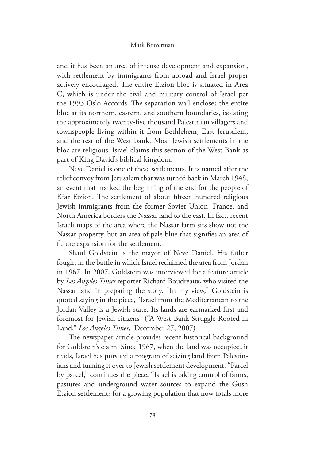and it has been an area of intense development and expansion, with settlement by immigrants from abroad and Israel proper actively encouraged. The entire Etzion bloc is situated in Area C, which is under the civil and military control of Israel per the 1993 Oslo Accords. The separation wall encloses the entire bloc at its northern, eastern, and southern boundaries, isolating the approximately twenty-five thousand Palestinian villagers and townspeople living within it from Bethlehem, East Jerusalem, and the rest of the West Bank. Most Jewish settlements in the bloc are religious. Israel claims this section of the West Bank as part of King David's biblical kingdom.

Neve Daniel is one of these settlements. It is named after the relief convoy from Jerusalem that was turned back in March 1948, an event that marked the beginning of the end for the people of Kfar Etzion. The settlement of about fifteen hundred religious Jewish immigrants from the former Soviet Union, France, and North America borders the Nassar land to the east. In fact, recent Israeli maps of the area where the Nassar farm sits show not the Nassar property, but an area of pale blue that signifies an area of future expansion for the settlement.

Shaul Goldstein is the mayor of Neve Daniel. His father fought in the battle in which Israel reclaimed the area from Jordan in 1967. In 2007, Goldstein was interviewed for a feature article by *Los Angeles Times* reporter Richard Boudreaux, who visited the Nassar land in preparing the story. "In my view," Goldstein is quoted saying in the piece, "Israel from the Mediterranean to the Jordan Valley is a Jewish state. Its lands are earmarked first and foremost for Jewish citizens" ("A West Bank Struggle Rooted in Land," *Los Angeles Times*, December 27, 2007)*.*

The newspaper article provides recent historical background for Goldstein's claim. Since 1967, when the land was occupied, it reads, Israel has pursued a program of seizing land from Palestinians and turning it over to Jewish settlement development. "Parcel by parcel," continues the piece, "Israel is taking control of farms, pastures and underground water sources to expand the Gush Etzion settlements for a growing population that now totals more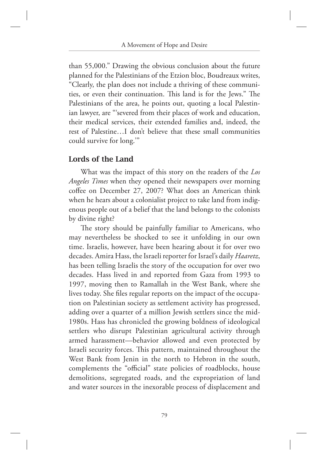than 55,000." Drawing the obvious conclusion about the future planned for the Palestinians of the Etzion bloc, Boudreaux writes, "Clearly, the plan does not include a thriving of these communities, or even their continuation. This land is for the Jews." The Palestinians of the area, he points out, quoting a local Palestinian lawyer, are "'severed from their places of work and education, their medical services, their extended families and, indeed, the rest of Palestine…I don't believe that these small communities could survive for long.'"

#### Lords of the Land

What was the impact of this story on the readers of the *Los Angeles Times* when they opened their newspapers over morning coffee on December 27, 2007? What does an American think when he hears about a colonialist project to take land from indigenous people out of a belief that the land belongs to the colonists by divine right?

The story should be painfully familiar to Americans, who may nevertheless be shocked to see it unfolding in our own time. Israelis, however, have been hearing about it for over two decades. Amira Hass, the Israeli reporter for Israel's daily *Haaretz*, has been telling Israelis the story of the occupation for over two decades. Hass lived in and reported from Gaza from 1993 to 1997, moving then to Ramallah in the West Bank, where she lives today. She files regular reports on the impact of the occupation on Palestinian society as settlement activity has progressed, adding over a quarter of a million Jewish settlers since the mid-1980s. Hass has chronicled the growing boldness of ideological settlers who disrupt Palestinian agricultural activity through armed harassment—behavior allowed and even protected by Israeli security forces. This pattern, maintained throughout the West Bank from Jenin in the north to Hebron in the south, complements the "official" state policies of roadblocks, house demolitions, segregated roads, and the expropriation of land and water sources in the inexorable process of displacement and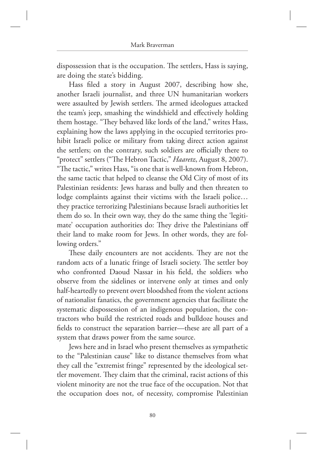dispossession that is the occupation. The settlers, Hass is saying, are doing the state's bidding.

Hass filed a story in August 2007, describing how she, another Israeli journalist, and three UN humanitarian workers were assaulted by Jewish settlers. The armed ideologues attacked the team's jeep, smashing the windshield and effectively holding them hostage. "They behaved like lords of the land," writes Hass, explaining how the laws applying in the occupied territories prohibit Israeli police or military from taking direct action against the settlers; on the contrary, such soldiers are officially there to "protect" settlers ("The Hebron Tactic," *Haaretz*, August 8, 2007). "The tactic," writes Hass, "is one that is well-known from Hebron, the same tactic that helped to cleanse the Old City of most of its Palestinian residents: Jews harass and bully and then threaten to lodge complaints against their victims with the Israeli police… they practice terrorizing Palestinians because Israeli authorities let them do so. In their own way, they do the same thing the 'legitimate' occupation authorities do: They drive the Palestinians off their land to make room for Jews. In other words, they are following orders."

These daily encounters are not accidents. They are not the random acts of a lunatic fringe of Israeli society. The settler boy who confronted Daoud Nassar in his field, the soldiers who observe from the sidelines or intervene only at times and only half-heartedly to prevent overt bloodshed from the violent actions of nationalist fanatics, the government agencies that facilitate the systematic dispossession of an indigenous population, the contractors who build the restricted roads and bulldoze houses and fields to construct the separation barrier—these are all part of a system that draws power from the same source.

Jews here and in Israel who present themselves as sympathetic to the "Palestinian cause" like to distance themselves from what they call the "extremist fringe" represented by the ideological settler movement. They claim that the criminal, racist actions of this violent minority are not the true face of the occupation. Not that the occupation does not, of necessity, compromise Palestinian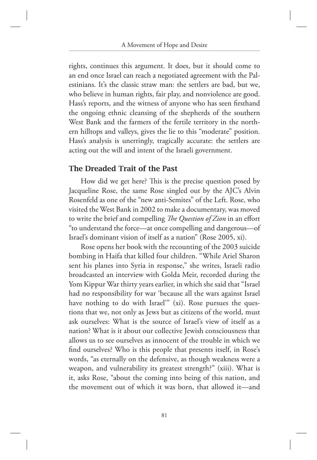rights, continues this argument. It does, but it should come to an end once Israel can reach a negotiated agreement with the Palestinians. It's the classic straw man: the settlers are bad, but we, who believe in human rights, fair play, and nonviolence are good. Hass's reports, and the witness of anyone who has seen firsthand the ongoing ethnic cleansing of the shepherds of the southern West Bank and the farmers of the fertile territory in the northern hilltops and valleys, gives the lie to this "moderate" position. Hass's analysis is unerringly, tragically accurate: the settlers are acting out the will and intent of the Israeli government.

# The Dreaded Trait of the Past

How did we get here? This is the precise question posed by Jacqueline Rose, the same Rose singled out by the AJC's Alvin Rosenfeld as one of the "new anti-Semites" of the Left. Rose, who visited the West Bank in 2002 to make a documentary, was moved to write the brief and compelling *The Question of Zion* in an effort "to understand the force—at once compelling and dangerous—of Israel's dominant vision of itself as a nation" (Rose 2005, xi).

Rose opens her book with the recounting of the 2003 suicide bombing in Haifa that killed four children. "While Ariel Sharon sent his planes into Syria in response," she writes, Israeli radio broadcasted an interview with Golda Meir, recorded during the Yom Kippur War thirty years earlier, in which she said that "Israel had no responsibility for war 'because all the wars against Israel have nothing to do with Israel" (xi). Rose pursues the questions that we, not only as Jews but as citizens of the world, must ask ourselves: What is the source of Israel's view of itself as a nation? What is it about our collective Jewish consciousness that allows us to see ourselves as innocent of the trouble in which we find ourselves? Who is this people that presents itself, in Rose's words, "as eternally on the defensive, as though weakness were a weapon, and vulnerability its greatest strength?" (xiii). What is it, asks Rose, "about the coming into being of this nation, and the movement out of which it was born, that allowed it—and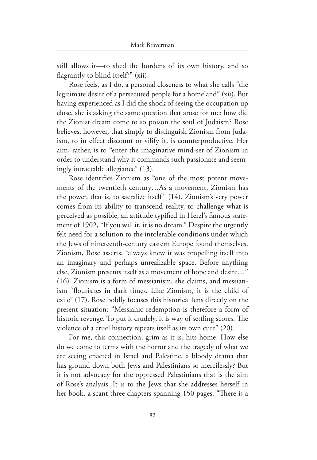still allows it—to shed the burdens of its own history, and so flagrantly to blind itself?" (xii).

Rose feels, as I do, a personal closeness to what she calls "the legitimate desire of a persecuted people for a homeland" (xii). But having experienced as I did the shock of seeing the occupation up close, she is asking the same question that arose for me: how did the Zionist dream come to so poison the soul of Judaism? Rose believes, however, that simply to distinguish Zionism from Judaism, to in effect discount or vilify it, is counterproductive. Her aim, rather, is to "enter the imaginative mind-set of Zionism in order to understand why it commands such passionate and seemingly intractable allegiance" (13).

Rose identifies Zionism as "one of the most potent movements of the twentieth century…As a movement, Zionism has the power, that is, to sacralize itself" (14). Zionism's very power comes from its ability to transcend reality, to challenge what is perceived as possible, an attitude typified in Herzl's famous statement of 1902, "If you will it, it is no dream." Despite the urgently felt need for a solution to the intolerable conditions under which the Jews of nineteenth-century eastern Europe found themselves, Zionism, Rose asserts, "always knew it was propelling itself into an imaginary and perhaps unrealizable space. Before anything else, Zionism presents itself as a movement of hope and desire…" (16). Zionism is a form of messianism, she claims, and messianism "flourishes in dark times. Like Zionism, it is the child of exile" (17). Rose boldly focuses this historical lens directly on the present situation: "Messianic redemption is therefore a form of historic revenge. To put it crudely, it is way of settling scores. The violence of a cruel history repeats itself as its own cure" (20).

For me, this connection, grim as it is, hits home. How else do we come to terms with the horror and the tragedy of what we are seeing enacted in Israel and Palestine, a bloody drama that has ground down both Jews and Palestinians so mercilessly? But it is not advocacy for the oppressed Palestinians that is the aim of Rose's analysis. It is to the Jews that she addresses herself in her book, a scant three chapters spanning 150 pages. "There is a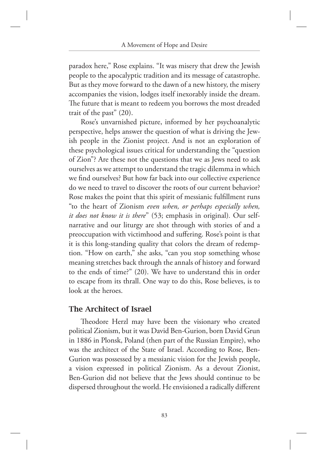paradox here," Rose explains. "It was misery that drew the Jewish people to the apocalyptic tradition and its message of catastrophe. But as they move forward to the dawn of a new history, the misery accompanies the vision, lodges itself inexorably inside the dream. The future that is meant to redeem you borrows the most dreaded trait of the past" (20).

Rose's unvarnished picture, informed by her psychoanalytic perspective, helps answer the question of what is driving the Jewish people in the Zionist project. And is not an exploration of these psychological issues critical for understanding the "question of Zion"? Are these not the questions that we as Jews need to ask ourselves as we attempt to understand the tragic dilemma in which we find ourselves? But how far back into our collective experience do we need to travel to discover the roots of our current behavior? Rose makes the point that this spirit of messianic fulfillment runs "to the heart of Zionism *even when, or perhaps especially when, it does not know it is there*" (53; emphasis in original)*.* Our selfnarrative and our liturgy are shot through with stories of and a preoccupation with victimhood and suffering. Rose's point is that it is this long-standing quality that colors the dream of redemption. "How on earth," she asks, "can you stop something whose meaning stretches back through the annals of history and forward to the ends of time?" (20). We have to understand this in order to escape from its thrall. One way to do this, Rose believes, is to look at the heroes.

#### The Architect of Israel

Theodore Herzl may have been the visionary who created political Zionism, but it was David Ben-Gurion, born David Grun in 1886 in Plonsk, Poland (then part of the Russian Empire), who was the architect of the State of Israel. According to Rose, Ben-Gurion was possessed by a messianic vision for the Jewish people, a vision expressed in political Zionism. As a devout Zionist, Ben-Gurion did not believe that the Jews should continue to be dispersed throughout the world. He envisioned a radically different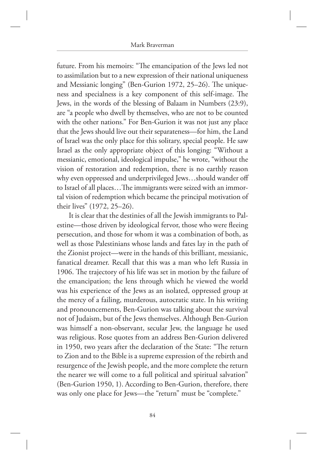future. From his memoirs: "The emancipation of the Jews led not to assimilation but to a new expression of their national uniqueness and Messianic longing" (Ben-Gurion 1972, 25–26). The uniqueness and specialness is a key component of this self-image. The Jews, in the words of the blessing of Balaam in Numbers (23:9), are "a people who dwell by themselves, who are not to be counted with the other nations." For Ben-Gurion it was not just any place that the Jews should live out their separateness—for him, the Land of Israel was the only place for this solitary, special people. He saw Israel as the only appropriate object of this longing: "Without a messianic, emotional, ideological impulse," he wrote, "without the vision of restoration and redemption, there is no earthly reason why even oppressed and underprivileged Jews…should wander off to Israel of all places...The immigrants were seized with an immortal vision of redemption which became the principal motivation of their lives" (1972, 25–26).

It is clear that the destinies of all the Jewish immigrants to Palestine—those driven by ideological fervor, those who were fleeing persecution, and those for whom it was a combination of both, as well as those Palestinians whose lands and fates lay in the path of the Zionist project—were in the hands of this brilliant, messianic, fanatical dreamer. Recall that this was a man who left Russia in 1906. The trajectory of his life was set in motion by the failure of the emancipation; the lens through which he viewed the world was his experience of the Jews as an isolated, oppressed group at the mercy of a failing, murderous, autocratic state. In his writing and pronouncements, Ben-Gurion was talking about the survival not of Judaism, but of the Jews themselves. Although Ben-Gurion was himself a non-observant, secular Jew, the language he used was religious. Rose quotes from an address Ben-Gurion delivered in 1950, two years after the declaration of the State: "The return to Zion and to the Bible is a supreme expression of the rebirth and resurgence of the Jewish people, and the more complete the return the nearer we will come to a full political and spiritual salvation" (Ben-Gurion 1950, 1). According to Ben-Gurion, therefore, there was only one place for Jews—the "return" must be "complete."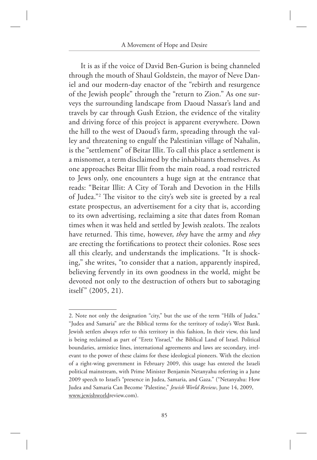It is as if the voice of David Ben-Gurion is being channeled through the mouth of Shaul Goldstein, the mayor of Neve Daniel and our modern-day enactor of the "rebirth and resurgence of the Jewish people" through the "return to Zion." As one surveys the surrounding landscape from Daoud Nassar's land and travels by car through Gush Etzion, the evidence of the vitality and driving force of this project is apparent everywhere. Down the hill to the west of Daoud's farm, spreading through the valley and threatening to engulf the Palestinian village of Nahalin, is the "settlement" of Beitar Illit. To call this place a settlement is a misnomer, a term disclaimed by the inhabitants themselves. As one approaches Beitar Illit from the main road, a road restricted to Jews only, one encounters a huge sign at the entrance that reads: "Beitar Illit: A City of Torah and Devotion in the Hills of Judea."<sup>2</sup> The visitor to the city's web site is greeted by a real estate prospectus, an advertisement for a city that is, according to its own advertising, reclaiming a site that dates from Roman times when it was held and settled by Jewish zealots. The zealots have returned. This time, however, *they* have the army and *they* are erecting the fortifications to protect their colonies. Rose sees all this clearly, and understands the implications. "It is shocking," she writes, "to consider that a nation, apparently inspired, believing fervently in its own goodness in the world, might be devoted not only to the destruction of others but to sabotaging itself" (2005, 21).

<sup>2.</sup> Note not only the designation "city," but the use of the term "Hills of Judea." "Judea and Samaria" are the Biblical terms for the territory of today's West Bank. Jewish settlers always refer to this territory in this fashion, In their view, this land is being reclaimed as part of "Eretz Yisrael," the Biblical Land of Israel. Political boundaries, armistice lines, international agreements and laws are secondary, irrelevant to the power of these claims for these ideological pioneers. With the election of a right-wing government in February 2009, this usage has entered the Israeli political mainstream, with Prime Minister Benjamin Netanyahu referring in a June 2009 speech to Israel's "presence in Judea, Samaria, and Gaza." ("Netanyahu: How Judea and Samaria Can Become 'Palestine," *Jewish World Review*, June 14, 2009, www.jewishworldreview.com).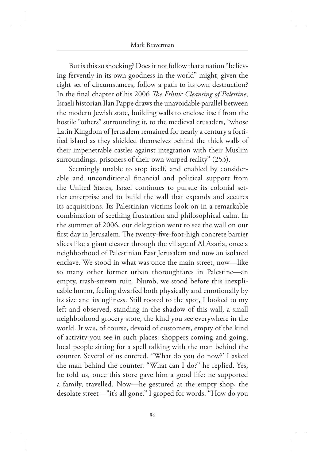But is this so shocking? Does it not follow that a nation "believing fervently in its own goodness in the world" might, given the right set of circumstances, follow a path to its own destruction? In the final chapter of his 2006 *The Ethnic Cleansing of Palestine*, Israeli historian Ilan Pappe draws the unavoidable parallel between the modern Jewish state, building walls to enclose itself from the hostile "others" surrounding it, to the medieval crusaders, "whose Latin Kingdom of Jerusalem remained for nearly a century a fortified island as they shielded themselves behind the thick walls of their impenetrable castles against integration with their Muslim surroundings, prisoners of their own warped reality" (253).

Seemingly unable to stop itself, and enabled by considerable and unconditional financial and political support from the United States, Israel continues to pursue its colonial settler enterprise and to build the wall that expands and secures its acquisitions. Its Palestinian victims look on in a remarkable combination of seething frustration and philosophical calm. In the summer of 2006, our delegation went to see the wall on our first day in Jerusalem. The twenty-five-foot-high concrete barrier slices like a giant cleaver through the village of Al Azaria, once a neighborhood of Palestinian East Jerusalem and now an isolated enclave. We stood in what was once the main street, now—like so many other former urban thoroughfares in Palestine—an empty, trash-strewn ruin. Numb, we stood before this inexplicable horror, feeling dwarfed both physically and emotionally by its size and its ugliness. Still rooted to the spot, I looked to my left and observed, standing in the shadow of this wall, a small neighborhood grocery store, the kind you see everywhere in the world. It was, of course, devoid of customers, empty of the kind of activity you see in such places: shoppers coming and going, local people sitting for a spell talking with the man behind the counter. Several of us entered. "What do you do now?' I asked the man behind the counter. "What can I do?" he replied. Yes, he told us, once this store gave him a good life: he supported a family, travelled. Now—he gestured at the empty shop, the desolate street—"it's all gone." I groped for words. "How do you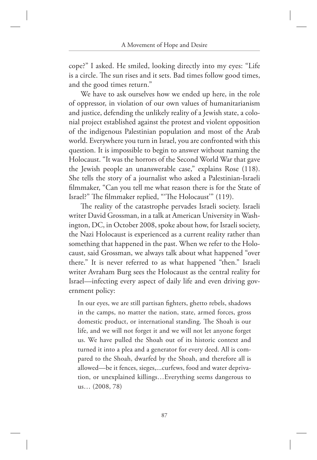cope?" I asked. He smiled, looking directly into my eyes: "Life is a circle. The sun rises and it sets. Bad times follow good times, and the good times return."

We have to ask ourselves how we ended up here, in the role of oppressor, in violation of our own values of humanitarianism and justice, defending the unlikely reality of a Jewish state, a colonial project established against the protest and violent opposition of the indigenous Palestinian population and most of the Arab world. Everywhere you turn in Israel, you are confronted with this question. It is impossible to begin to answer without naming the Holocaust. "It was the horrors of the Second World War that gave the Jewish people an unanswerable case," explains Rose (118). She tells the story of a journalist who asked a Palestinian-Israeli filmmaker, "Can you tell me what reason there is for the State of Israel?" The filmmaker replied, "'The Holocaust'" (119).

The reality of the catastrophe pervades Israeli society. Israeli writer David Grossman, in a talk at American University in Washington, DC, in October 2008, spoke about how, for Israeli society, the Nazi Holocaust is experienced as a current reality rather than something that happened in the past. When we refer to the Holocaust, said Grossman, we always talk about what happened "over there." It is never referred to as what happened "then." Israeli writer Avraham Burg sees the Holocaust as the central reality for Israel—infecting every aspect of daily life and even driving government policy:

In our eyes, we are still partisan fighters, ghetto rebels, shadows in the camps, no matter the nation, state, armed forces, gross domestic product, or international standing. The Shoah is our life, and we will not forget it and we will not let anyone forget us. We have pulled the Shoah out of its historic context and turned it into a plea and a generator for every deed. All is compared to the Shoah, dwarfed by the Shoah, and therefore all is allowed—be it fences, sieges,...curfews, food and water deprivation, or unexplained killings…Everything seems dangerous to us… (2008, 78)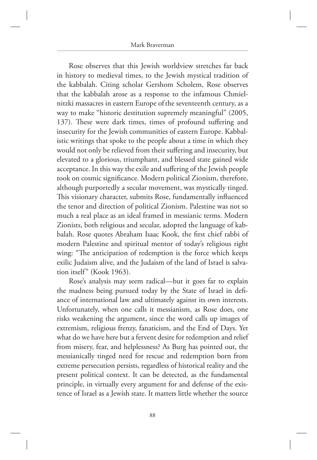Rose observes that this Jewish worldview stretches far back in history to medieval times, to the Jewish mystical tradition of the kabbalah. Citing scholar Gershom Scholem, Rose observes that the kabbalah arose as a response to the infamous Chmielnitzki massacres in eastern Europe ofthe seventeenth century, as a way to make "historic destitution supremely meaningful" (2005, 137). These were dark times, times of profound suffering and insecurity for the Jewish communities of eastern Europe. Kabbalistic writings that spoke to the people about a time in which they would not only be relieved from their suffering and insecurity, but elevated to a glorious, triumphant, and blessed state gained wide acceptance. In this way the exile and suffering of the Jewish people took on cosmic significance. Modern political Zionism, therefore, although purportedly a secular movement, was mystically tinged. This visionary character, submits Rose, fundamentally influenced the tenor and direction of political Zionism. Palestine was not so much a real place as an ideal framed in messianic terms. Modern Zionists, both religious and secular, adopted the language of kabbalah. Rose quotes Abraham Isaac Kook, the first chief rabbi of modern Palestine and spiritual mentor of today's religious right wing: "The anticipation of redemption is the force which keeps exilic Judaism alive, and the Judaism of the land of Israel is salvation itself" (Kook 1963).

Rose's analysis may seem radical—but it goes far to explain the madness being pursued today by the State of Israel in defiance of international law and ultimately against its own interests. Unfortunately, when one calls it messianism, as Rose does, one risks weakening the argument, since the word calls up images of extremism, religious frenzy, fanaticism, and the End of Days. Yet what do we have here but a fervent desire for redemption and relief from misery, fear, and helplessness? As Burg has pointed out, the messianically tinged need for rescue and redemption born from extreme persecution persists, regardless of historical reality and the present political context. It can be detected, as the fundamental principle, in virtually every argument for and defense of the existence of Israel as a Jewish state. It matters little whether the source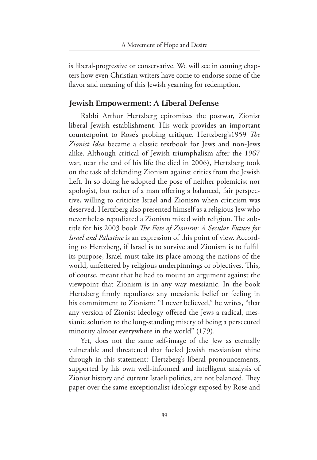is liberal-progressive or conservative. We will see in coming chapters how even Christian writers have come to endorse some of the flavor and meaning of this Jewish yearning for redemption.

#### Jewish Empowerment: A Liberal Defense

Rabbi Arthur Hertzberg epitomizes the postwar, Zionist liberal Jewish establishment. His work provides an important counterpoint to Rose's probing critique. Hertzberg's1959 *The Zionist Idea* became a classic textbook for Jews and non-Jews alike. Although critical of Jewish triumphalism after the 1967 war, near the end of his life (he died in 2006), Hertzberg took on the task of defending Zionism against critics from the Jewish Left. In so doing he adopted the pose of neither polemicist nor apologist, but rather of a man offering a balanced, fair perspective, willing to criticize Israel and Zionism when criticism was deserved. Hertzberg also presented himself as a religious Jew who nevertheless repudiated a Zionism mixed with religion. The subtitle for his 2003 book *The Fate of Zionism*: *A Secular Future for Israel and Palestine* is an expression of this point of view. According to Hertzberg, if Israel is to survive and Zionism is to fulfill its purpose, Israel must take its place among the nations of the world, unfettered by religious underpinnings or objectives. This, of course, meant that he had to mount an argument against the viewpoint that Zionism is in any way messianic. In the book Hertzberg firmly repudiates any messianic belief or feeling in his commitment to Zionism: "I never believed," he writes, "that any version of Zionist ideology offered the Jews a radical, messianic solution to the long-standing misery of being a persecuted minority almost everywhere in the world" (179).

Yet, does not the same self-image of the Jew as eternally vulnerable and threatened that fueled Jewish messianism shine through in this statement? Hertzberg's liberal pronouncements, supported by his own well-informed and intelligent analysis of Zionist history and current Israeli politics, are not balanced. They paper over the same exceptionalist ideology exposed by Rose and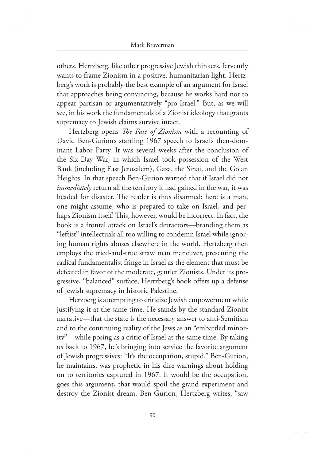others. Hertzberg, like other progressive Jewish thinkers, fervently wants to frame Zionism in a positive, humanitarian light. Hertzberg's work is probably the best example of an argument for Israel that approaches being convincing, because he works hard not to appear partisan or argumentatively "pro-Israel." But, as we will see, in his work the fundamentals of a Zionist ideology that grants supremacy to Jewish claims survive intact.

Hertzberg opens *The Fate of Zionism* with a recounting of David Ben-Gurion's startling 1967 speech to Israel's then-dominant Labor Party. It was several weeks after the conclusion of the Six-Day War, in which Israel took possession of the West Bank (including East Jerusalem), Gaza, the Sinai, and the Golan Heights. In that speech Ben-Gurion warned that if Israel did not *immediately* return all the territory it had gained in the war, it was headed for disaster. The reader is thus disarmed: here is a man, one might assume, who is prepared to take on Israel, and perhaps Zionism itself! This, however, would be incorrect. In fact, the book is a frontal attack on Israel's detractors—branding them as "leftist" intellectuals all too willing to condemn Israel while ignoring human rights abuses elsewhere in the world. Hertzberg then employs the tried-and-true straw man maneuver, presenting the radical fundamentalist fringe in Israel as the element that must be defeated in favor of the moderate, gentler Zionists. Under its progressive, "balanced" surface, Hertzberg's book offers up a defense of Jewish supremacy in historic Palestine.

Herzberg is attempting to criticize Jewish empowerment while justifying it at the same time. He stands by the standard Zionist narrative—that the state is the necessary answer to anti-Semitism and to the continuing reality of the Jews as an "embattled minority"—while posing as a critic of Israel at the same time. By taking us back to 1967, he's bringing into service the favorite argument of Jewish progressives: "It's the occupation, stupid." Ben-Gurion, he maintains, was prophetic in his dire warnings about holding on to territories captured in 1967. It would be the occupation, goes this argument, that would spoil the grand experiment and destroy the Zionist dream. Ben-Gurion, Hertzberg writes, "saw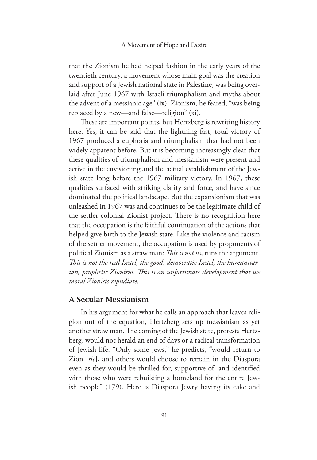that the Zionism he had helped fashion in the early years of the twentieth century, a movement whose main goal was the creation and support of a Jewish national state in Palestine, was being overlaid after June 1967 with Israeli triumphalism and myths about the advent of a messianic age" (ix). Zionism, he feared, "was being replaced by a new—and false—religion" (xi).

These are important points, but Hertzberg is rewriting history here. Yes, it can be said that the lightning-fast, total victory of 1967 produced a euphoria and triumphalism that had not been widely apparent before. But it is becoming increasingly clear that these qualities of triumphalism and messianism were present and active in the envisioning and the actual establishment of the Jewish state long before the 1967 military victory. In 1967, these qualities surfaced with striking clarity and force, and have since dominated the political landscape. But the expansionism that was unleashed in 1967 was and continues to be the legitimate child of the settler colonial Zionist project. There is no recognition here that the occupation is the faithful continuation of the actions that helped give birth to the Jewish state. Like the violence and racism of the settler movement, the occupation is used by proponents of political Zionism as a straw man: *This is not us*, runs the argument. This is not the real Israel, the good, democratic Israel, the humanitar*ian, prophetic Zionism. !is is an unfortunate development that we moral Zionists repudiate.*

# A Secular Messianism

In his argument for what he calls an approach that leaves religion out of the equation, Hertzberg sets up messianism as yet another straw man. The coming of the Jewish state, protests Hertzberg, would not herald an end of days or a radical transformation of Jewish life. "Only some Jews," he predicts, "would return to Zion [*sic*], and others would choose to remain in the Diaspora even as they would be thrilled for, supportive of, and identified with those who were rebuilding a homeland for the entire Jewish people" (179). Here is Diaspora Jewry having its cake and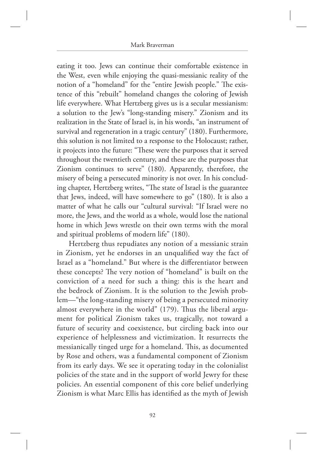eating it too. Jews can continue their comfortable existence in the West, even while enjoying the quasi-messianic reality of the notion of a "homeland" for the "entire Jewish people." The existence of this "rebuilt" homeland changes the coloring of Jewish life everywhere. What Hertzberg gives us is a secular messianism: a solution to the Jew's "long-standing misery." Zionism and its realization in the State of Israel is, in his words, "an instrument of survival and regeneration in a tragic century" (180). Furthermore, this solution is not limited to a response to the Holocaust; rather, it projects into the future: "These were the purposes that it served throughout the twentieth century, and these are the purposes that Zionism continues to serve" (180). Apparently, therefore, the misery of being a persecuted minority is not over. In his concluding chapter, Hertzberg writes, "The state of Israel is the guarantee that Jews, indeed, will have somewhere to go" (180). It is also a matter of what he calls our "cultural survival: "If Israel were no more, the Jews, and the world as a whole, would lose the national home in which Jews wrestle on their own terms with the moral and spiritual problems of modern life" (180).

Hertzberg thus repudiates any notion of a messianic strain in Zionism, yet he endorses in an unqualified way the fact of Israel as a "homeland." But where is the differentiator between these concepts? The very notion of "homeland" is built on the conviction of a need for such a thing: this is the heart and the bedrock of Zionism. It is the solution to the Jewish problem—"the long-standing misery of being a persecuted minority almost everywhere in the world" (179). Thus the liberal argument for political Zionism takes us, tragically, not toward a future of security and coexistence, but circling back into our experience of helplessness and victimization. It resurrects the messianically tinged urge for a homeland. This, as documented by Rose and others, was a fundamental component of Zionism from its early days. We see it operating today in the colonialist policies of the state and in the support of world Jewry for these policies. An essential component of this core belief underlying Zionism is what Marc Ellis has identified as the myth of Jewish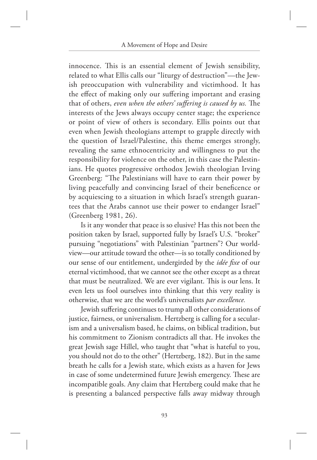innocence. This is an essential element of Jewish sensibility, related to what Ellis calls our "liturgy of destruction"—the Jewish preoccupation with vulnerability and victimhood. It has the effect of making only our suffering important and erasing that of others, *even when the others' suffering is caused by us*. The interests of the Jews always occupy center stage; the experience or point of view of others is secondary. Ellis points out that even when Jewish theologians attempt to grapple directly with the question of Israel/Palestine, this theme emerges strongly, revealing the same ethnocentricity and willingness to put the responsibility for violence on the other, in this case the Palestinians. He quotes progressive orthodox Jewish theologian Irving Greenberg: "The Palestinians will have to earn their power by living peacefully and convincing Israel of their beneficence or by acquiescing to a situation in which Israel's strength guarantees that the Arabs cannot use their power to endanger Israel" (Greenberg 1981, 26).

Is it any wonder that peace is so elusive? Has this not been the position taken by Israel, supported fully by Israel's U.S. "broker" pursuing "negotiations" with Palestinian "partners"? Our worldview—our attitude toward the other—is so totally conditioned by our sense of our entitlement, undergirded by the *idée fixe* of our eternal victimhood, that we cannot see the other except as a threat that must be neutralized. We are ever vigilant. This is our lens. It even lets us fool ourselves into thinking that this very reality is otherwise, that we are the world's universalists *par excellence.*

Jewish suffering continues to trump all other considerations of justice, fairness, or universalism. Hertzberg is calling for a secularism and a universalism based, he claims, on biblical tradition, but his commitment to Zionism contradicts all that. He invokes the great Jewish sage Hillel, who taught that "what is hateful to you, you should not do to the other" (Hertzberg, 182). But in the same breath he calls for a Jewish state, which exists as a haven for Jews in case of some undetermined future Jewish emergency. These are incompatible goals. Any claim that Hertzberg could make that he is presenting a balanced perspective falls away midway through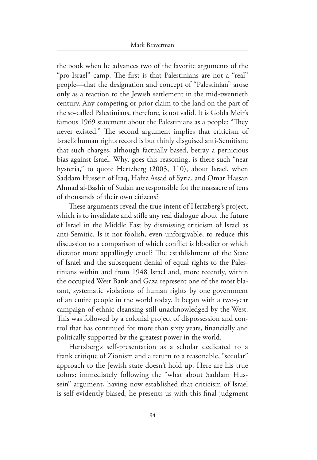the book when he advances two of the favorite arguments of the "pro-Israel" camp. The first is that Palestinians are not a "real" people—that the designation and concept of "Palestinian" arose only as a reaction to the Jewish settlement in the mid-twentieth century. Any competing or prior claim to the land on the part of the so-called Palestinians, therefore, is not valid. It is Golda Meir's famous 1969 statement about the Palestinians as a people: "They never existed." The second argument implies that criticism of Israel's human rights record is but thinly disguised anti-Semitism; that such charges, although factually based, betray a pernicious bias against Israel. Why, goes this reasoning, is there such "near hysteria," to quote Hertzberg (2003, 110), about Israel, when Saddam Hussein of Iraq, Hafez Assad of Syria, and Omar Hassan Ahmad al-Bashir of Sudan are responsible for the massacre of tens of thousands of their own citizens?

These arguments reveal the true intent of Hertzberg's project, which is to invalidate and stifle any real dialogue about the future of Israel in the Middle East by dismissing criticism of Israel as anti-Semitic. Is it not foolish, even unforgivable, to reduce this discussion to a comparison of which conflict is bloodier or which dictator more appallingly cruel? The establishment of the State of Israel and the subsequent denial of equal rights to the Palestinians within and from 1948 Israel and, more recently, within the occupied West Bank and Gaza represent one of the most blatant, systematic violations of human rights by one government of an entire people in the world today. It began with a two-year campaign of ethnic cleansing still unacknowledged by the West. This was followed by a colonial project of dispossession and control that has continued for more than sixty years, financially and politically supported by the greatest power in the world.

Hertzberg's self-presentation as a scholar dedicated to a frank critique of Zionism and a return to a reasonable, "secular" approach to the Jewish state doesn't hold up. Here are his true colors: immediately following the "what about Saddam Hussein" argument, having now established that criticism of Israel is self-evidently biased, he presents us with this final judgment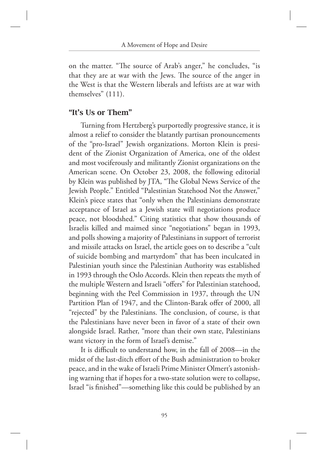on the matter. "The source of Arab's anger," he concludes, "is that they are at war with the Jews. The source of the anger in the West is that the Western liberals and leftists are at war with themselves" (111).

# "It's Us or Them"

Turning from Hertzberg's purportedly progressive stance, it is almost a relief to consider the blatantly partisan pronouncements of the "pro-Israel" Jewish organizations. Morton Klein is president of the Zionist Organization of America, one of the oldest and most vociferously and militantly Zionist organizations on the American scene. On October 23, 2008, the following editorial by Klein was published by JTA, "The Global News Service of the Jewish People." Entitled "Palestinian Statehood Not the Answer," Klein's piece states that "only when the Palestinians demonstrate acceptance of Israel as a Jewish state will negotiations produce peace, not bloodshed." Citing statistics that show thousands of Israelis killed and maimed since "negotiations" began in 1993, and polls showing a majority of Palestinians in support of terrorist and missile attacks on Israel, the article goes on to describe a "cult of suicide bombing and martyrdom" that has been inculcated in Palestinian youth since the Palestinian Authority was established in 1993 through the Oslo Accords. Klein then repeats the myth of the multiple Western and Israeli "offers" for Palestinian statehood, beginning with the Peel Commission in 1937, through the UN Partition Plan of 1947, and the Clinton-Barak offer of 2000, all "rejected" by the Palestinians. The conclusion, of course, is that the Palestinians have never been in favor of a state of their own alongside Israel. Rather, "more than their own state, Palestinians want victory in the form of Israel's demise."

It is difficult to understand how, in the fall of 2008—in the midst of the last-ditch effort of the Bush administration to broker peace, and in the wake of Israeli Prime Minister Olmert's astonishing warning that if hopes for a two-state solution were to collapse, Israel "is finished"—something like this could be published by an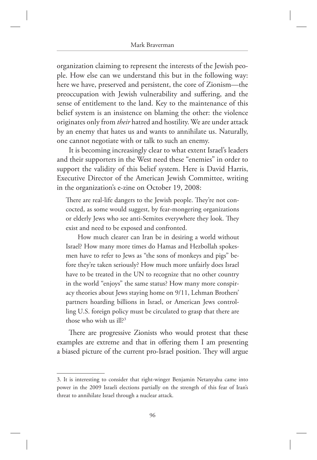organization claiming to represent the interests of the Jewish people. How else can we understand this but in the following way: here we have, preserved and persistent, the core of Zionism—the preoccupation with Jewish vulnerability and suffering, and the sense of entitlement to the land. Key to the maintenance of this belief system is an insistence on blaming the other: the violence originates only from *their* hatred and hostility. We are under attack by an enemy that hates us and wants to annihilate us. Naturally, one cannot negotiate with or talk to such an enemy.

It is becoming increasingly clear to what extent Israel's leaders and their supporters in the West need these "enemies" in order to support the validity of this belief system. Here is David Harris, Executive Director of the American Jewish Committee, writing in the organization's e-zine on October 19, 2008:

There are real-life dangers to the Jewish people. They're not concocted, as some would suggest, by fear-mongering organizations or elderly Jews who see anti-Semites everywhere they look. They exist and need to be exposed and confronted.

How much clearer can Iran be in desiring a world without Israel? How many more times do Hamas and Hezbollah spokesmen have to refer to Jews as "the sons of monkeys and pigs" before they're taken seriously? How much more unfairly does Israel have to be treated in the UN to recognize that no other country in the world "enjoys" the same status? How many more conspiracy theories about Jews staying home on 9/11, Lehman Brothers' partners hoarding billions in Israel, or American Jews controlling U.S. foreign policy must be circulated to grasp that there are those who wish us ill?3

There are progressive Zionists who would protest that these examples are extreme and that in offering them I am presenting a biased picture of the current pro-Israel position. They will argue

<sup>3.</sup> It is interesting to consider that right-winger Benjamin Netanyahu came into power in the 2009 Israeli elections partially on the strength of this fear of Iran's threat to annihilate Israel through a nuclear attack.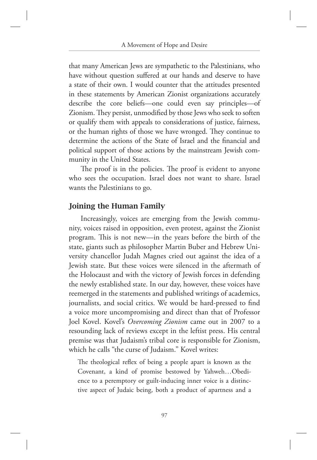that many American Jews are sympathetic to the Palestinians, who have without question suffered at our hands and deserve to have a state of their own. I would counter that the attitudes presented in these statements by American Zionist organizations accurately describe the core beliefs—one could even say principles—of Zionism. They persist, unmodified by those Jews who seek to soften or qualify them with appeals to considerations of justice, fairness, or the human rights of those we have wronged. They continue to determine the actions of the State of Israel and the financial and political support of those actions by the mainstream Jewish community in the United States.

The proof is in the policies. The proof is evident to anyone who sees the occupation. Israel does not want to share. Israel wants the Palestinians to go.

## Joining the Human Family

Increasingly, voices are emerging from the Jewish community, voices raised in opposition, even protest, against the Zionist program. This is not new—in the years before the birth of the state, giants such as philosopher Martin Buber and Hebrew University chancellor Judah Magnes cried out against the idea of a Jewish state. But these voices were silenced in the aftermath of the Holocaust and with the victory of Jewish forces in defending the newly established state. In our day, however, these voices have reemerged in the statements and published writings of academics, journalists, and social critics. We would be hard-pressed to find a voice more uncompromising and direct than that of Professor Joel Kovel. Kovel's *Overcoming Zionism* came out in 2007 to a resounding lack of reviews except in the leftist press. His central premise was that Judaism's tribal core is responsible for Zionism, which he calls "the curse of Judaism." Kovel writes:

The theological reflex of being a people apart is known as the Covenant, a kind of promise bestowed by Yahweh…Obedience to a peremptory or guilt-inducing inner voice is a distinctive aspect of Judaic being, both a product of apartness and a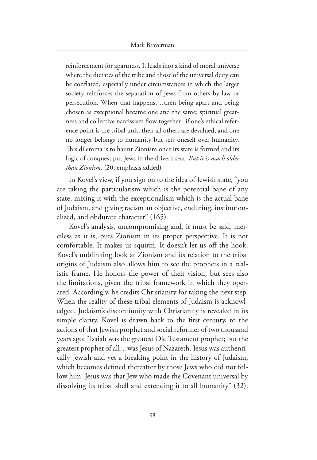reinforcement for apartness. It leads into a kind of moral universe where the dictates of the tribe and those of the universal deity can be conflated, especially under circumstances in which the larger society reinforces the separation of Jews from others by law or persecution. When that happens,…then being apart and being chosen as exceptional became one and the same; spiritual greatness and collective narcissism flow together...if one's ethical reference point is the tribal unit, then all others are devalued, and one no longer belongs to humanity but sets oneself over humanity. This dilemma is to haunt Zionism once its state is formed and its logic of conquest put Jews in the driver's seat. *But it is much older than Zionism*. (20; emphasis added)

In Kovel's view, if you sign on to the idea of Jewish state, "you are taking the particularism which is the potential bane of any state, mixing it with the exceptionalism which is the actual bane of Judaism, and giving racism an objective, enduring, institutionalized, and obdurate character" (165).

Kovel's analysis, uncompromising and, it must be said, merciless as it is, puts Zionism in its proper perspective. It is not comfortable. It makes us squirm. It doesn't let us off the hook. Kovel's unblinking look at Zionism and its relation to the tribal origins of Judaism also allows him to see the prophets in a realistic frame. He honors the power of their vision, but sees also the limitations, given the tribal framework in which they operated. Accordingly, he credits Christianity for taking the next step. When the reality of these tribal elements of Judaism is acknowledged, Judaism's discontinuity with Christianity is revealed in its simple clarity. Kovel is drawn back to the first century, to the actions of that Jewish prophet and social reformer of two thousand years ago: "Isaiah was the greatest Old Testament prophet; but the greatest prophet of all…was Jesus of Nazareth. Jesus was authentically Jewish and yet a breaking point in the history of Judaism, which becomes defined thereafter by those Jews who did not follow him. Jesus was that Jew who made the Covenant universal by dissolving its tribal shell and extending it to all humanity" (32).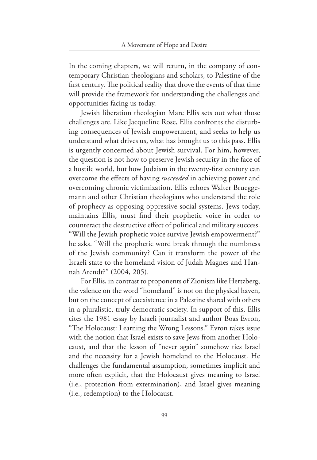In the coming chapters, we will return, in the company of contemporary Christian theologians and scholars, to Palestine of the first century. The political reality that drove the events of that time will provide the framework for understanding the challenges and opportunities facing us today.

Jewish liberation theologian Marc Ellis sets out what those challenges are. Like Jacqueline Rose, Ellis confronts the disturbing consequences of Jewish empowerment, and seeks to help us understand what drives us, what has brought us to this pass. Ellis is urgently concerned about Jewish survival. For him, however, the question is not how to preserve Jewish security in the face of a hostile world, but how Judaism in the twenty-first century can overcome the effects of having *succeeded* in achieving power and overcoming chronic victimization. Ellis echoes Walter Brueggemann and other Christian theologians who understand the role of prophecy as opposing oppressive social systems. Jews today, maintains Ellis, must find their prophetic voice in order to counteract the destructive effect of political and military success. "Will the Jewish prophetic voice survive Jewish empowerment?" he asks. "Will the prophetic word break through the numbness of the Jewish community? Can it transform the power of the Israeli state to the homeland vision of Judah Magnes and Hannah Arendt?" (2004, 205).

For Ellis, in contrast to proponents of Zionism like Hertzberg, the valence on the word "homeland" is not on the physical haven, but on the concept of coexistence in a Palestine shared with others in a pluralistic, truly democratic society. In support of this, Ellis cites the 1981 essay by Israeli journalist and author Boas Evron, "The Holocaust: Learning the Wrong Lessons." Evron takes issue with the notion that Israel exists to save Jews from another Holocaust, and that the lesson of "never again" somehow ties Israel and the necessity for a Jewish homeland to the Holocaust. He challenges the fundamental assumption, sometimes implicit and more often explicit, that the Holocaust gives meaning to Israel (i.e., protection from extermination), and Israel gives meaning (i.e., redemption) to the Holocaust.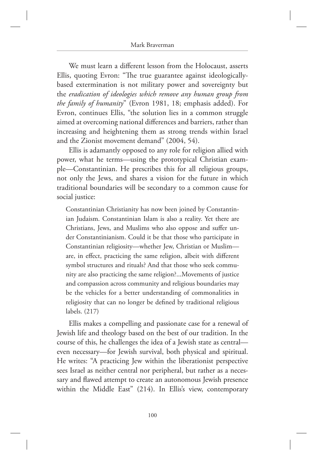We must learn a different lesson from the Holocaust, asserts Ellis, quoting Evron: "The true guarantee against ideologicallybased extermination is not military power and sovereignty but the *eradication of ideologies which remove any human group from the family of humanity*" (Evron 1981, 18; emphasis added). For Evron, continues Ellis, "the solution lies in a common struggle aimed at overcoming national differences and barriers, rather than increasing and heightening them as strong trends within Israel and the Zionist movement demand" (2004, 54).

Ellis is adamantly opposed to any role for religion allied with power, what he terms—using the prototypical Christian example—Constantinian. He prescribes this for all religious groups, not only the Jews, and shares a vision for the future in which traditional boundaries will be secondary to a common cause for social justice:

Constantinian Christianity has now been joined by Constantinian Judaism. Constantinian Islam is also a reality. Yet there are Christians, Jews, and Muslims who also oppose and suffer under Constantinianism. Could it be that those who participate in Constantinian religiosity—whether Jew, Christian or Muslim are, in effect, practicing the same religion, albeit with different symbol structures and rituals? And that those who seek community are also practicing the same religion?...Movements of justice and compassion across community and religious boundaries may be the vehicles for a better understanding of commonalities in religiosity that can no longer be defined by traditional religious labels. (217)

Ellis makes a compelling and passionate case for a renewal of Jewish life and theology based on the best of our tradition. In the course of this, he challenges the idea of a Jewish state as central even necessary—for Jewish survival, both physical and spiritual. He writes: "A practicing Jew within the liberationist perspective sees Israel as neither central nor peripheral, but rather as a necessary and flawed attempt to create an autonomous Jewish presence within the Middle East" (214). In Ellis's view, contemporary